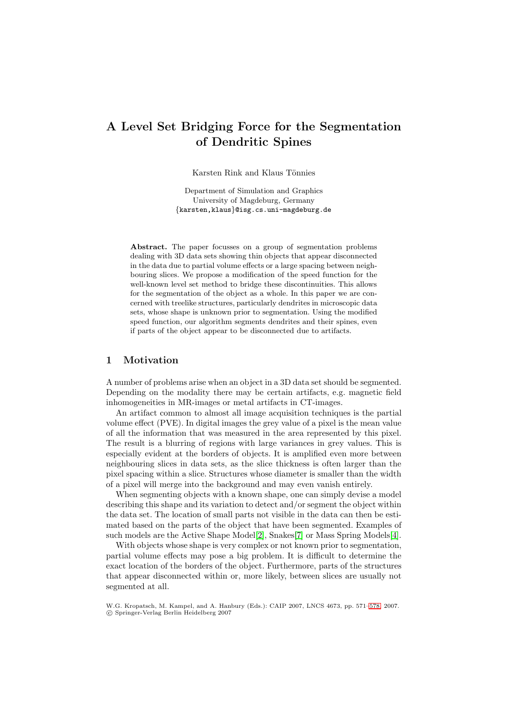# **A Level Set Bridging Force for the Segmentation of Dendritic Spines**

Karsten Rink and Klaus Tönnies

Department of Simulation and Graphics University of Magdeburg, Germany {karsten,klaus}@isg.cs.uni-magdeburg.de

**Abstract.** The paper focusses on a group of segmentation problems dealing with 3D data sets showing thin objects that appear disconnected in the data due to partial volume effects or a large spacing between neighbouring slices. We propose a modification of the speed function for the well-known level set method to bridge these discontinuities. This allows for the segmentation of the object as a whole. In this paper we are concerned with treelike structures, particularly dendrites in microscopic data sets, whose shape is unknown prior to segmentation. Using the modified speed function, our algorithm segments dendrites and their spines, even if parts of the object appear to be disconnected due to artifacts.

# <span id="page-0-0"></span>**1 Motivation**

A number of problems arise when an object in a 3D data set should be segmented. Depending on the modality there may be certain artifacts, e.g. magnetic field inhomogeneities in MR-images or metal artifacts in CT-images.

An artifact common to almost all image acquisition techniques is the partial volume effect (PVE). In digital images the grey value of a pixel is the mean value of all the information that was measured in the area represented by this pixel. The result is a blurring of regions with large variances in grey values. This is especially evident at the borders of objects. It is amplified even more between neighbouring slices in data sets, as the slice thickness is often larger than the pixel spacing within a slice. Structures whose diameter is smaller than the width of a pixel will merge into the background and may even vanish entirely.

When segmenting objects with a known shape, one can simply devise a model describing this shape and its variation to detect and/or segment the object within the data set. The location of small parts not visible in the data can then be estimated based on the parts of the object that have been segmented. Examples of such models are the Active Shape Model[\[2\]](#page-7-0), Snakes[\[7\]](#page-7-1) or Mass Spring Models[\[4\]](#page-7-2).

With objects whose shape is very complex or not known prior to segmentation, partial volume effects may pose a big problem. It is difficult to determine the exact location of the borders of the object. Furthermore, parts of the structures that appear disconnected within or, more likely, between slices are usually not segmented at all.

W.G. Kropatsch, M. Kampel, and A. Hanbury (Eds.): CAIP 2007, LNCS 4673, pp. 571[–578,](#page-7-3) 2007. -c Springer-Verlag Berlin Heidelberg 2007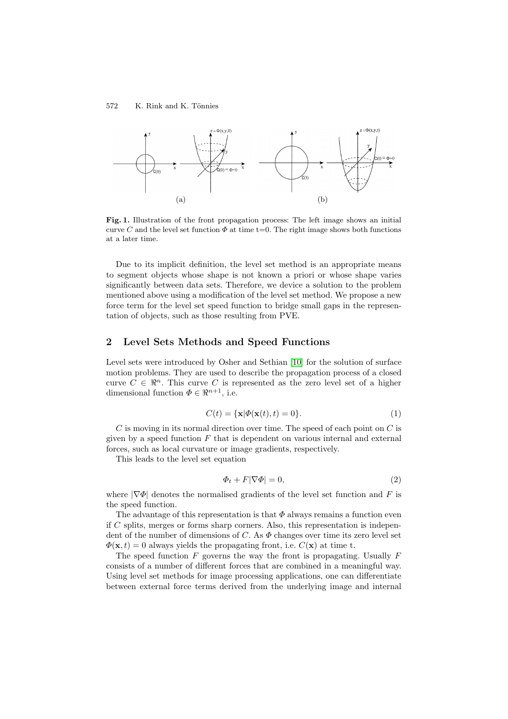

**Fig. 1.** Illustration of the front propagation process: The left image shows an initial curve C and the level set function  $\Phi$  at time t=0. The right image shows both functions at a later time.

Due to its implicit definition, the level set method is an appropriate means to segment objects whose shape is not known a priori or whose shape varies significantly between data sets. Therefore, we device a solution to the problem mentioned above using a modification of the level set method. We propose a new force term for the level set speed function to bridge small gaps in the representation of objects, such as those resulting from PVE.

# **2 Level Sets Methods and Speed Functions**

Level sets were introduced by Osher and Sethian [\[10\]](#page-7-4) for the solution of surface motion problems. They are used to describe the propagation process of a closed curve  $C \in \mathbb{R}^n$ . This curve C is represented as the zero level set of a higher dimensional function  $\varPhi\in\Re^{n+1}.$  i.e.

$$
C(t) = \{ \mathbf{x} | \Phi(\mathbf{x}(t), t) = 0 \}.
$$
 (1)

 $C$  is moving in its normal direction over time. The speed of each point on  $C$  is given by a speed function  $F$  that is dependent on various internal and external forces, such as local curvature or image gradients, respectively.

This leads to the level set equation

$$
\Phi_t + F|\nabla \Phi| = 0,\t\t(2)
$$

where  $|\nabla \Phi|$  denotes the normalised gradients of the level set function and F is the speed function.

The advantage of this representation is that  $\Phi$  always remains a function even if  $C$  splits, merges or forms sharp corners. Also, this representation is independent of the number of dimensions of  $C$ . As  $\Phi$  changes over time its zero level set  $\Phi(\mathbf{x}, t) = 0$  always yields the propagating front, i.e.  $C(\mathbf{x})$  at time t.

The speed function  $F$  governs the way the front is propagating. Usually  $F$ consists of a number of different forces that are combined in a meaningful way. Using level set methods for image processing applications, one can differentiate between external force terms derived from the underlying image and internal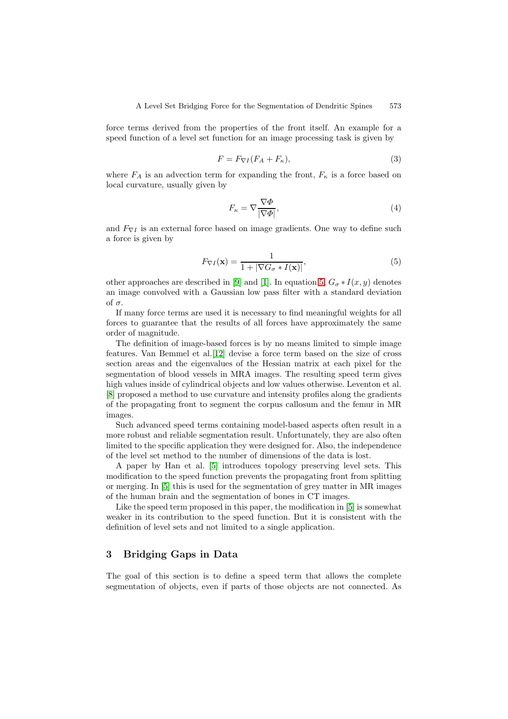<span id="page-2-1"></span>force terms derived from the properties of the front itself. An example for a speed function of a level set function for an image processing task is given by

$$
F = F_{\nabla I}(F_A + F_\kappa),\tag{3}
$$

where  $F_A$  is an advection term for expanding the front,  $F_{\kappa}$  is a force based on local curvature, usually given by

$$
F_{\kappa} = \nabla \frac{\nabla \Phi}{|\nabla \Phi|},\tag{4}
$$

<span id="page-2-0"></span>and  $F_{\nabla I}$  is an external force based on image gradients. One way to define such a force is given by

$$
F_{\nabla I}(\mathbf{x}) = \frac{1}{1 + |\nabla G_{\sigma} * I(\mathbf{x})|},\tag{5}
$$

other approaches are described in [\[9\]](#page-7-5) and [\[1\]](#page-7-6). In equation [5,](#page-2-0)  $G_{\sigma}*I(x, y)$  denotes an image convolved with a Gaussian low pass filter with a standard deviation of  $\sigma$ .

If many force terms are used it is necessary to find meaningful weights for all forces to guarantee that the results of all forces have approximately the same order of magnitude.

The definition of image-based forces is by no means limited to simple image features. Van Bemmel et al.[\[12\]](#page-7-7) devise a force term based on the size of cross section areas and the eigenvalues of the Hessian matrix at each pixel for the segmentation of blood vessels in MRA images. The resulting speed term gives high values inside of cylindrical objects and low values otherwise. Leventon et al. [\[8\]](#page-7-8) proposed a method to use curvature and intensity profiles along the gradients of the propagating front to segment the corpus callosum and the femur in MR images.

Such advanced speed terms containing model-based aspects often result in a more robust and reliable segmentation result. Unfortunately, they are also often limited to the specific application they were designed for. Also, the independence of the level set method to the number of dimensions of the data is lost.

A paper by Han et al. [\[5\]](#page-7-9) introduces topology preserving level sets. This modification to the speed function prevents the propagating front from splitting or merging. In [\[5\]](#page-7-9) this is used for the segmentation of grey matter in MR images of the human brain and the segmentation of bones in CT images.

Like the speed term proposed in this paper, the modification in [\[5\]](#page-7-9) is somewhat weaker in its contribution to the speed function. But it is consistent with the definition of level sets and not limited to a single application.

# <span id="page-2-2"></span>**3 Bridging Gaps in Data**

The goal of this section is to define a speed term that allows the complete segmentation of objects, even if parts of those objects are not connected. As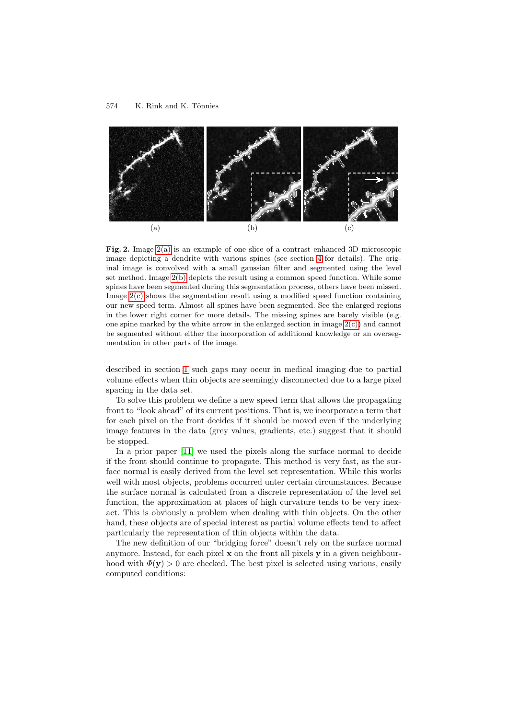<span id="page-3-0"></span>

<span id="page-3-2"></span><span id="page-3-1"></span>**Fig. 2.** Image [2\(a\)](#page-3-0) is an example of one slice of a contrast enhanced 3D microscopic image depicting a dendrite with various spines (see section [4](#page-4-0) for details). The original image is convolved with a small gaussian filter and segmented using the level set method. Image [2\(b\)](#page-3-1) depicts the result using a common speed function. While some spines have been segmented during this segmentation process, others have been missed. Image [2\(c\)](#page-3-2) shows the segmentation result using a modified speed function containing our new speed term. Almost all spines have been segmented. See the enlarged regions in the lower right corner for more details. The missing spines are barely visible (e.g. one spine marked by the white arrow in the enlarged section in image  $2(c)$  and cannot be segmented without either the incorporation of additional knowledge or an oversegmentation in other parts of the image.

described in section [1](#page-0-0) such gaps may occur in medical imaging due to partial volume effects when thin objects are seemingly disconnected due to a large pixel spacing in the data set.

To solve this problem we define a new speed term that allows the propagating front to "look ahead" of its current positions. That is, we incorporate a term that for each pixel on the front decides if it should be moved even if the underlying image features in the data (grey values, gradients, etc.) suggest that it should be stopped.

In a prior paper [\[11\]](#page-7-10) we used the pixels along the surface normal to decide if the front should continue to propagate. This method is very fast, as the surface normal is easily derived from the level set representation. While this works well with most objects, problems occurred unter certain circumstances. Because the surface normal is calculated from a discrete representation of the level set function, the approximation at places of high curvature tends to be very inexact. This is obviously a problem when dealing with thin objects. On the other hand, these objects are of special interest as partial volume effects tend to affect particularly the representation of thin objects within the data.

The new definition of our "bridging force" doesn't rely on the surface normal anymore. Instead, for each pixel **x** on the front all pixels **y** in a given neighbourhood with  $\Phi(\mathbf{y}) > 0$  are checked. The best pixel is selected using various, easily computed conditions: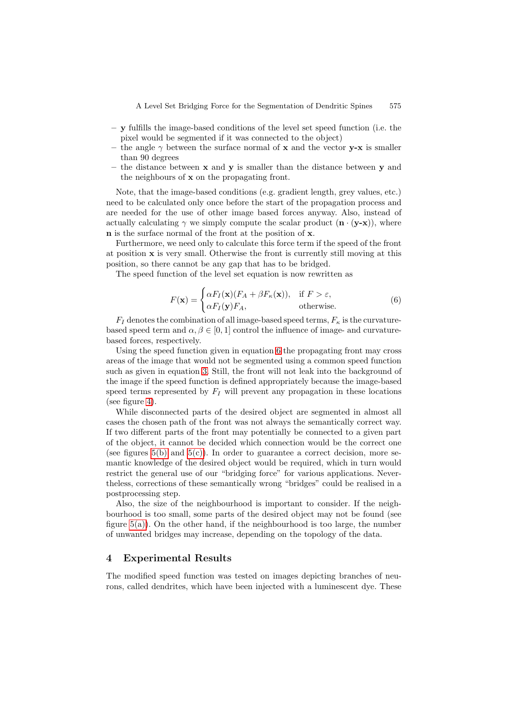- **y** fulfills the image-based conditions of the level set speed function (i.e. the pixel would be segmented if it was connected to the object)
- the angle  $\gamma$  between the surface normal of **x** and the vector **y-x** is smaller than 90 degrees
- **–** the distance between **x** and **y** is smaller than the distance between **y** and the neighbours of **x** on the propagating front.

Note, that the image-based conditions (e.g. gradient length, grey values, etc.) need to be calculated only once before the start of the propagation process and are needed for the use of other image based forces anyway. Also, instead of actually calculating  $\gamma$  we simply compute the scalar product  $(\mathbf{n} \cdot (\mathbf{v} \cdot \mathbf{x}))$ , where **n** is the surface normal of the front at the position of **x**.

<span id="page-4-1"></span>Furthermore, we need only to calculate this force term if the speed of the front at position **x** is very small. Otherwise the front is currently still moving at this position, so there cannot be any gap that has to be bridged.

The speed function of the level set equation is now rewritten as

$$
F(\mathbf{x}) = \begin{cases} \alpha F_I(\mathbf{x})(F_A + \beta F_\kappa(\mathbf{x})), & \text{if } F > \varepsilon, \\ \alpha F_I(\mathbf{y}) F_A, & \text{otherwise.} \end{cases}
$$
(6)

 $F_I$  denotes the combination of all image-based speed terms,  $F_{\kappa}$  is the curvaturebased speed term and  $\alpha, \beta \in [0, 1]$  control the influence of image- and curvaturebased forces, respectively.

Using the speed function given in equation [6](#page-4-1) the propagating front may cross areas of the image that would not be segmented using a common speed function such as given in equation [3.](#page-2-1) Still, the front will not leak into the background of the image if the speed function is defined appropriately because the image-based speed terms represented by  $F_I$  will prevent any propagation in these locations (see figure [4\)](#page-5-0).

While disconnected parts of the desired object are segmented in almost all cases the chosen path of the front was not always the semantically correct way. If two different parts of the front may potentially be connected to a given part of the object, it cannot be decided which connection would be the correct one (see figures  $5(b)$  and  $5(c)$ ). In order to guarantee a correct decision, more semantic knowledge of the desired object would be required, which in turn would restrict the general use of our "bridging force" for various applications. Nevertheless, corrections of these semantically wrong "bridges" could be realised in a postprocessing step.

Also, the size of the neighbourhood is important to consider. If the neighbourhood is too small, some parts of the desired object may not be found (see figure  $5(a)$ ). On the other hand, if the neighbourhood is too large, the number of unwanted bridges may increase, depending on the topology of the data.

## <span id="page-4-0"></span>**4 Experimental Results**

The modified speed function was tested on images depicting branches of neurons, called dendrites, which have been injected with a luminescent dye. These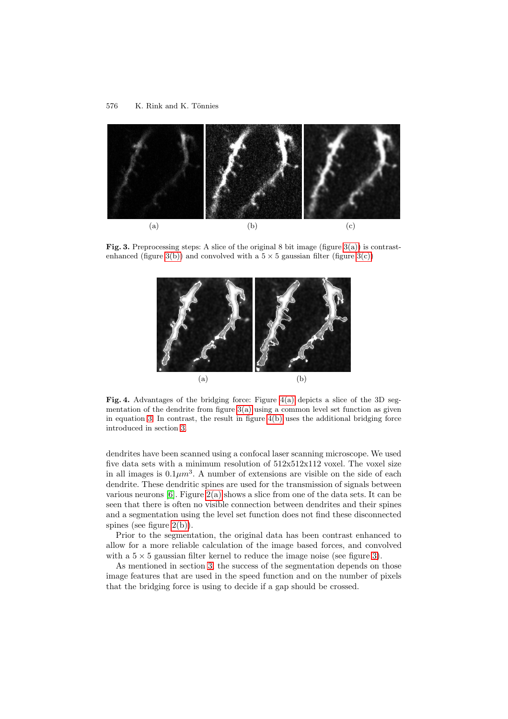<span id="page-5-1"></span>

<span id="page-5-6"></span><span id="page-5-4"></span><span id="page-5-2"></span>Fig. 3. Preprocessing steps: A slice of the original 8 bit image (figure [3\(a\)\)](#page-5-1) is contrast-enhanced (figure [3\(b\)\)](#page-5-2) and convolved with a  $5 \times 5$  gaussian filter (figure [3\(c\)\)](#page-5-3)

<span id="page-5-3"></span>

<span id="page-5-5"></span><span id="page-5-0"></span>**Fig. 4.** Advantages of the bridging force: Figure [4\(a\)](#page-5-4) depicts a slice of the 3D segmentation of the dendrite from figure  $3(a)$  using a common level set function as given in equation [3.](#page-2-1) In contrast, the result in figure  $4(b)$  uses the additional bridging force introduced in section [3.](#page-2-2)

dendrites have been scanned using a confocal laser scanning microscope. We used five data sets with a minimum resolution of 512x512x112 voxel. The voxel size in all images is  $0.1 \mu m^3$ . A number of extensions are visible on the side of each dendrite. These dendritic spines are used for the transmission of signals between various neurons  $[6]$ . Figure  $2(a)$  shows a slice from one of the data sets. It can be seen that there is often no visible connection between dendrites and their spines and a segmentation using the level set function does not find these disconnected spines (see figure  $2(b)$ ).

Prior to the segmentation, the original data has been contrast enhanced to allow for a more reliable calculation of the image based forces, and convolved with a  $5 \times 5$  gaussian filter kernel to reduce the image noise (see figure [3\)](#page-5-6).

As mentioned in section [3,](#page-2-2) the success of the segmentation depends on those image features that are used in the speed function and on the number of pixels that the bridging force is using to decide if a gap should be crossed.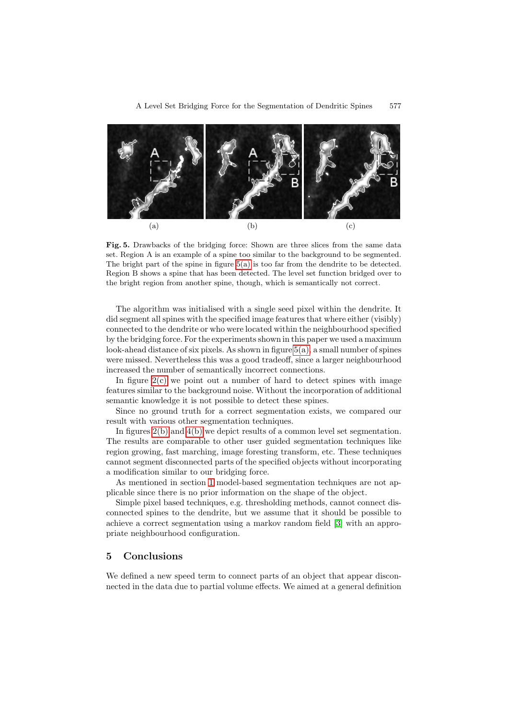<span id="page-6-2"></span>

<span id="page-6-1"></span><span id="page-6-0"></span>**Fig. 5.** Drawbacks of the bridging force: Shown are three slices from the same data set. Region A is an example of a spine too similar to the background to be segmented. The bright part of the spine in figure [5\(a\)](#page-6-2) is too far from the dendrite to be detected. Region B shows a spine that has been detected. The level set function bridged over to the bright region from another spine, though, which is semantically not correct.

The algorithm was initialised with a single seed pixel within the dendrite. It did segment all spines with the specified image features that where either (visibly) connected to the dendrite or who were located within the neighbourhood specified by the bridging force. For the experiments shown in this paper we used a maximum look-ahead distance of six pixels. As shown in figure [5\(a\),](#page-6-2) a small number of spines were missed. Nevertheless this was a good tradeoff, since a larger neighbourhood increased the number of semantically incorrect connections.

In figure  $2(c)$  we point out a number of hard to detect spines with image features similar to the background noise. Without the incorporation of additional semantic knowledge it is not possible to detect these spines.

Since no ground truth for a correct segmentation exists, we compared our result with various other segmentation techniques.

In figures [2\(b\)](#page-3-1) and [4\(b\)](#page-5-5) we depict results of a common level set segmentation. The results are comparable to other user guided segmentation techniques like region growing, fast marching, image foresting transform, etc. These techniques cannot segment disconnected parts of the specified objects without incorporating a modification similar to our bridging force.

As mentioned in section [1](#page-0-0) model-based segmentation techniques are not applicable since there is no prior information on the shape of the object.

Simple pixel based techniques, e.g. thresholding methods, cannot connect disconnected spines to the dendrite, but we assume that it should be possible to achieve a correct segmentation using a markov random field [\[3\]](#page-7-12) with an appropriate neighbourhood configuration.

# **5 Conclusions**

We defined a new speed term to connect parts of an object that appear disconnected in the data due to partial volume effects. We aimed at a general definition